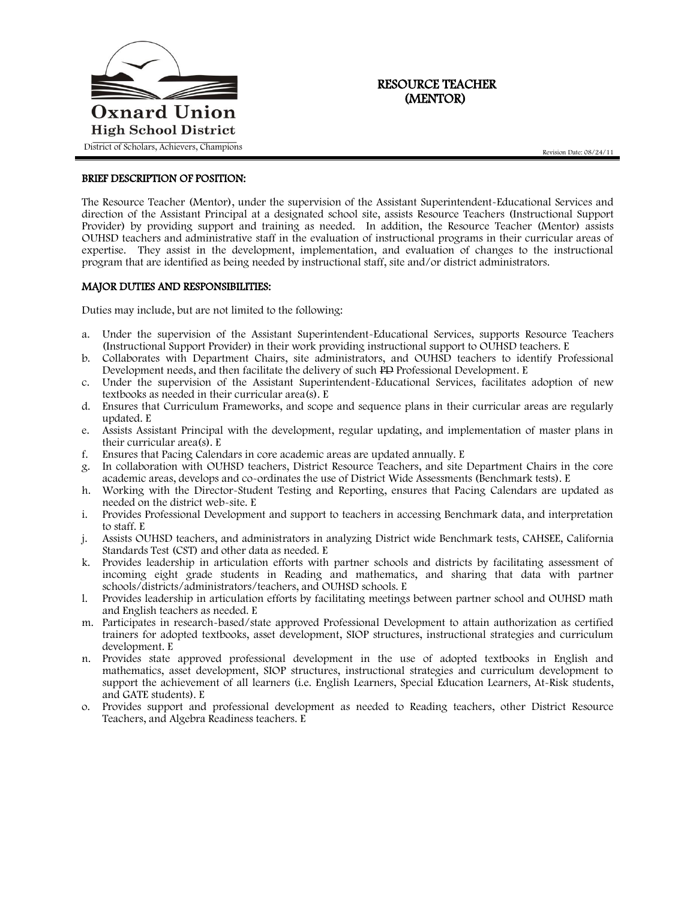

## RESOURCE TEACHER (MENTOR)

## BRIEF DESCRIPTION OF POSITION:

The Resource Teacher (Mentor), under the supervision of the Assistant Superintendent-Educational Services and direction of the Assistant Principal at a designated school site, assists Resource Teachers (Instructional Support Provider) by providing support and training as needed. In addition, the Resource Teacher (Mentor) assists OUHSD teachers and administrative staff in the evaluation of instructional programs in their curricular areas of expertise. They assist in the development, implementation, and evaluation of changes to the instructional program that are identified as being needed by instructional staff, site and/or district administrators.

## MAJOR DUTIES AND RESPONSIBILITIES:

Duties may include, but are not limited to the following:

- a. Under the supervision of the Assistant Superintendent-Educational Services, supports Resource Teachers (Instructional Support Provider) in their work providing instructional support to OUHSD teachers. E
- b. Collaborates with Department Chairs, site administrators, and OUHSD teachers to identify Professional Development needs, and then facilitate the delivery of such PD Professional Development. E
- c. Under the supervision of the Assistant Superintendent-Educational Services, facilitates adoption of new textbooks as needed in their curricular area(s). E
- d. Ensures that Curriculum Frameworks, and scope and sequence plans in their curricular areas are regularly updated. E
- e. Assists Assistant Principal with the development, regular updating, and implementation of master plans in their curricular area(s). E
- f. Ensures that Pacing Calendars in core academic areas are updated annually. E
- g. In collaboration with OUHSD teachers, District Resource Teachers, and site Department Chairs in the core academic areas, develops and co-ordinates the use of District Wide Assessments (Benchmark tests). E
- h. Working with the Director-Student Testing and Reporting, ensures that Pacing Calendars are updated as needed on the district web-site. E
- i. Provides Professional Development and support to teachers in accessing Benchmark data, and interpretation to staff. E
- j. Assists OUHSD teachers, and administrators in analyzing District wide Benchmark tests, CAHSEE, California Standards Test (CST) and other data as needed. E
- k. Provides leadership in articulation efforts with partner schools and districts by facilitating assessment of incoming eight grade students in Reading and mathematics, and sharing that data with partner schools/districts/administrators/teachers, and OUHSD schools. E
- l. Provides leadership in articulation efforts by facilitating meetings between partner school and OUHSD math and English teachers as needed. E
- m. Participates in research-based/state approved Professional Development to attain authorization as certified trainers for adopted textbooks, asset development, SIOP structures, instructional strategies and curriculum development. E
- n. Provides state approved professional development in the use of adopted textbooks in English and mathematics, asset development, SIOP structures, instructional strategies and curriculum development to support the achievement of all learners (i.e. English Learners, Special Education Learners, At-Risk students, and GATE students). E
- o. Provides support and professional development as needed to Reading teachers, other District Resource Teachers, and Algebra Readiness teachers. E